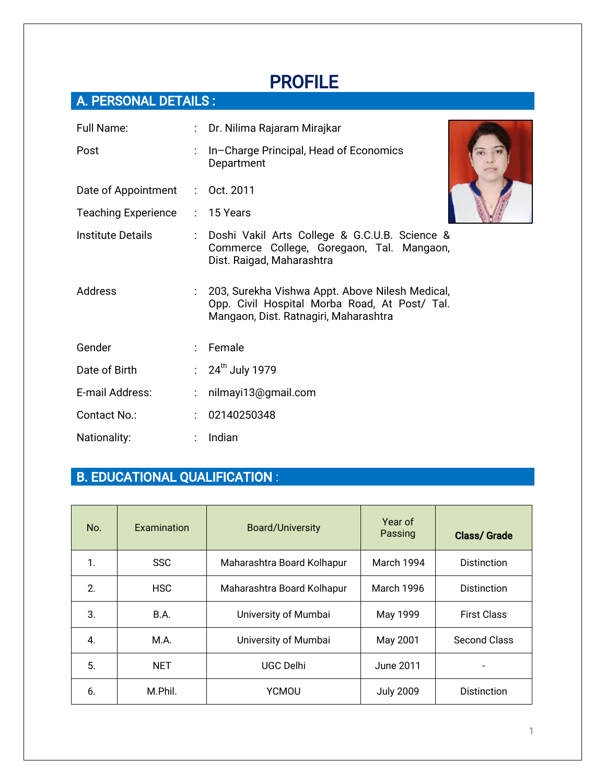# PROFILE

# A. PERSONAL DETAILS :

| Full Name:                 |                      | : Dr. Nilima Rajaram Mirajkar                                                                                                             |
|----------------------------|----------------------|-------------------------------------------------------------------------------------------------------------------------------------------|
| Post                       |                      | In-Charge Principal, Head of Economics<br>Department                                                                                      |
| Date of Appointment        |                      | $:$ Oct. 2011                                                                                                                             |
| <b>Teaching Experience</b> |                      | $: 15$ Years                                                                                                                              |
| <b>Institute Details</b>   |                      | : Doshi Vakil Arts College & G.C.U.B. Science &<br>Commerce College, Goregaon, Tal. Mangaon,<br>Dist. Raigad, Maharashtra                 |
| <b>Address</b>             |                      | 203, Surekha Vishwa Appt. Above Nilesh Medical,<br>Opp. Civil Hospital Morba Road, At Post/ Tal.<br>Mangaon, Dist. Ratnagiri, Maharashtra |
| Gender                     |                      | : Female                                                                                                                                  |
| Date of Birth              |                      | : $24^{\text{th}}$ July 1979                                                                                                              |
| E-mail Address:            |                      | nilmayi13@gmail.com                                                                                                                       |
| Contact No.:               | $\ddot{\phantom{a}}$ | 02140250348                                                                                                                               |
| Nationality:               |                      | Indian                                                                                                                                    |

# B. EDUCATIONAL QUALIFICATION :

| No. | Examination | <b>Board/University</b>    | Year of<br>Passing | <b>Class/Grade</b>  |
|-----|-------------|----------------------------|--------------------|---------------------|
| 1.  | <b>SSC</b>  | Maharashtra Board Kolhapur | March 1994         | <b>Distinction</b>  |
| 2.  | <b>HSC</b>  | Maharashtra Board Kolhapur | March 1996         | <b>Distinction</b>  |
| 3.  | B.A.        | University of Mumbai       | May 1999           | <b>First Class</b>  |
| 4.  | M.A.        | University of Mumbai       | May 2001           | <b>Second Class</b> |
| 5.  | <b>NET</b>  | UGC Delhi                  | June 2011          |                     |
| 6.  | M.Phil.     | <b>YCMOU</b>               | <b>July 2009</b>   | <b>Distinction</b>  |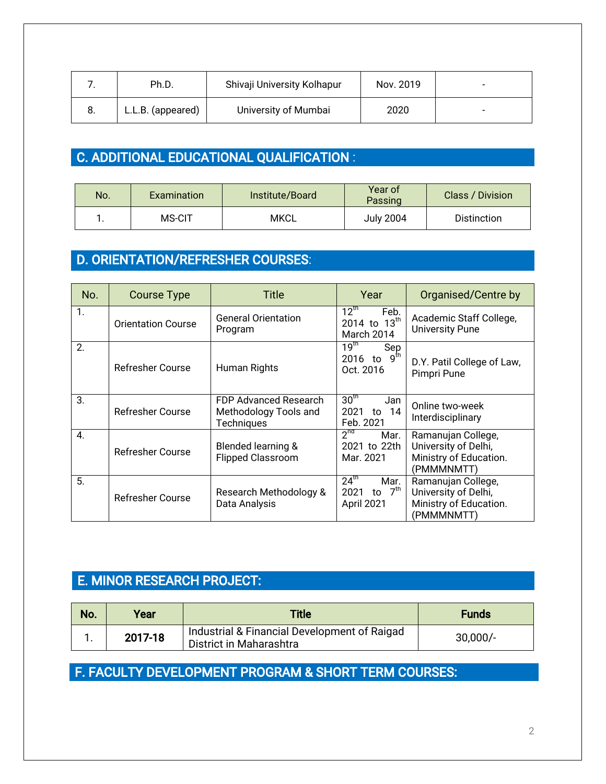|    | Ph.D.             | Shivaji University Kolhapur | Nov. 2019 | - |
|----|-------------------|-----------------------------|-----------|---|
| o. | L.L.B. (appeared) | University of Mumbai        | 2020      | - |

### C. ADDITIONAL EDUCATIONAL QUALIFICATION :

| No. | <b>Examination</b> | Institute/Board | Year of<br>Passing | Class / Division   |
|-----|--------------------|-----------------|--------------------|--------------------|
| . . | MS-CIT             | <b>MKCL</b>     | <b>July 2004</b>   | <b>Distinction</b> |

### D. ORIENTATION/REFRESHER COURSES:

| No. | <b>Course Type</b>        | Title                                                               | Year                                                               | Organised/Centre by                                                                |
|-----|---------------------------|---------------------------------------------------------------------|--------------------------------------------------------------------|------------------------------------------------------------------------------------|
| 1.  | <b>Orientation Course</b> | <b>General Orientation</b><br>Program                               | $12^{\text{th}}$<br>Feb.<br>2014 to 13 <sup>th</sup><br>March 2014 | Academic Staff College,<br><b>University Pune</b>                                  |
| 2.  | <b>Refresher Course</b>   | Human Rights                                                        | 19 <sup>th</sup><br>Sep<br>2016 to $9^{th}$<br>Oct. 2016           | D.Y. Patil College of Law,<br>Pimpri Pune                                          |
| 3.  | <b>Refresher Course</b>   | FDP Advanced Research<br>Methodology Tools and<br><b>Techniques</b> | 30 <sup>th</sup><br>Jan<br>2021<br>-14<br>to<br>Feb. 2021          | Online two-week<br>Interdisciplinary                                               |
| 4.  | <b>Refresher Course</b>   | <b>Blended learning &amp;</b><br><b>Flipped Classroom</b>           | $2^{nd}$<br>Mar.<br>2021 to 22th<br>Mar. 2021                      | Ramanujan College,<br>University of Delhi,<br>Ministry of Education.<br>(PMMMNMTT) |
| 5.  | <b>Refresher Course</b>   | Research Methodology &<br>Data Analysis                             | $24^{\text{th}}$<br>Mar.<br>to $7th$<br>2021<br>April 2021         | Ramanujan College,<br>University of Delhi,<br>Ministry of Education.<br>(PMMMNMTT) |

### E. MINOR RESEARCH PROJECT:

| No. | Year    | <b>Title</b>                                                            | <b>Funds</b> |
|-----|---------|-------------------------------------------------------------------------|--------------|
|     | 2017-18 | Industrial & Financial Development of Raigad<br>District in Maharashtra | $30,000/-$   |

#### F. FACULTY DEVELOPMENT PROGRAM & SHORT TERM COURSES: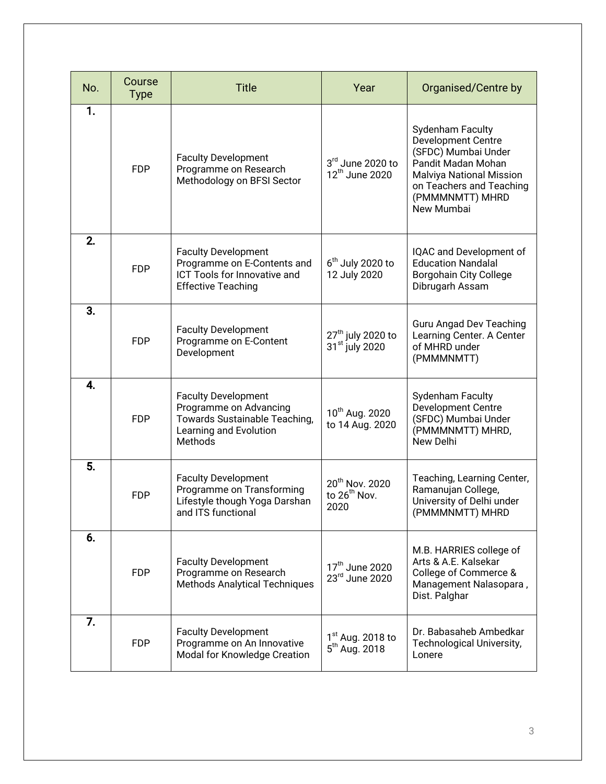| No. | Course<br><b>Type</b> | <b>Title</b>                                                                                                               | Year                                                           | Organised/Centre by                                                                                                                                                                 |
|-----|-----------------------|----------------------------------------------------------------------------------------------------------------------------|----------------------------------------------------------------|-------------------------------------------------------------------------------------------------------------------------------------------------------------------------------------|
| 1.  | <b>FDP</b>            | <b>Faculty Development</b><br>Programme on Research<br>Methodology on BFSI Sector                                          | 3rd June 2020 to<br>12 <sup>th</sup> June 2020                 | Sydenham Faculty<br><b>Development Centre</b><br>(SFDC) Mumbai Under<br>Pandit Madan Mohan<br>Malviya National Mission<br>on Teachers and Teaching<br>(PMMMNMTT) MHRD<br>New Mumbai |
| 2.  | <b>FDP</b>            | <b>Faculty Development</b><br>Programme on E-Contents and<br>ICT Tools for Innovative and<br><b>Effective Teaching</b>     | $6th$ July 2020 to<br>12 July 2020                             | IQAC and Development of<br><b>Education Nandalal</b><br><b>Borgohain City College</b><br>Dibrugarh Assam                                                                            |
| 3.  | <b>FDP</b>            | <b>Faculty Development</b><br>Programme on E-Content<br>Development                                                        | 27 <sup>th</sup> july 2020 to<br>31 <sup>st</sup> july 2020    | <b>Guru Angad Dev Teaching</b><br>Learning Center. A Center<br>of MHRD under<br>(PMMMNMTT)                                                                                          |
| 4.  | <b>FDP</b>            | <b>Faculty Development</b><br>Programme on Advancing<br>Towards Sustainable Teaching,<br>Learning and Evolution<br>Methods | 10 <sup>th</sup> Aug. 2020<br>to 14 Aug. 2020                  | <b>Sydenham Faculty</b><br><b>Development Centre</b><br>(SFDC) Mumbai Under<br>(PMMMNMTT) MHRD,<br>New Delhi                                                                        |
| 5.  | <b>FDP</b>            | <b>Faculty Development</b><br>Programme on Transforming<br>Lifestyle though Yoga Darshan<br>and ITS functional             | 20 <sup>th</sup> Nov. 2020<br>to 26 <sup>th</sup> Nov.<br>2020 | Teaching, Learning Center,<br>Ramanujan College,<br>University of Delhi under<br>(PMMMNMTT) MHRD                                                                                    |
| 6.  | <b>FDP</b>            | <b>Faculty Development</b><br>Programme on Research<br><b>Methods Analytical Techniques</b>                                | 17 <sup>th</sup> June 2020<br>23rd June 2020                   | M.B. HARRIES college of<br>Arts & A.E. Kalsekar<br>College of Commerce &<br>Management Nalasopara,<br>Dist. Palghar                                                                 |
| 7.  | <b>FDP</b>            | <b>Faculty Development</b><br>Programme on An Innovative<br>Modal for Knowledge Creation                                   | $1st$ Aug. 2018 to<br>5 <sup>th</sup> Aug. 2018                | Dr. Babasaheb Ambedkar<br><b>Technological University,</b><br>Lonere                                                                                                                |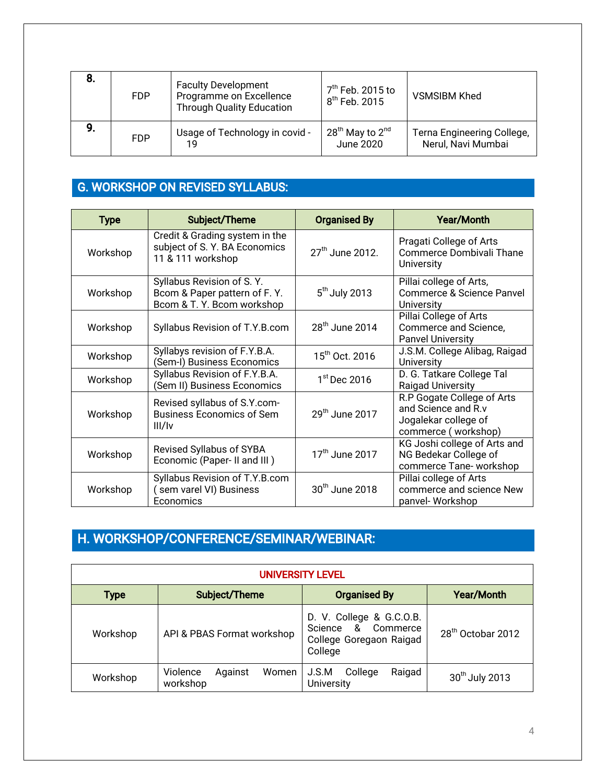| 8. | <b>FDP</b> | <b>Faculty Development</b><br>Programme on Excellence<br><b>Through Quality Education</b> | . 7 <sup>th</sup> Feb. 2015 to<br>8 <sup>th</sup> Feb. 2015 | <b>VSMSIBM Khed</b>                              |
|----|------------|-------------------------------------------------------------------------------------------|-------------------------------------------------------------|--------------------------------------------------|
| 9. | <b>FDP</b> | Usage of Technology in covid -<br>19                                                      | $28^{th}$ May to $2^{nd}$<br>June 2020                      | Terna Engineering College,<br>Nerul, Navi Mumbai |

#### G. WORKSHOP ON REVISED SYLLABUS:

| <b>Type</b> | Subject/Theme                                                                           | <b>Organised By</b>         | <b>Year/Month</b>                                                                                |
|-------------|-----------------------------------------------------------------------------------------|-----------------------------|--------------------------------------------------------------------------------------------------|
| Workshop    | Credit & Grading system in the<br>subject of S. Y. BA Economics<br>11 & 111 workshop    | 27 <sup>th</sup> June 2012. | Pragati College of Arts<br>Commerce Dombivali Thane<br><b>University</b>                         |
| Workshop    | Syllabus Revision of S.Y.<br>Bcom & Paper pattern of F.Y.<br>Bcom & T. Y. Bcom workshop | $5th$ July 2013             | Pillai college of Arts,<br>Commerce & Science Panvel<br>University                               |
| Workshop    | Syllabus Revision of T.Y.B.com                                                          | $28th$ June 2014            | Pillai College of Arts<br>Commerce and Science,<br><b>Panvel University</b>                      |
| Workshop    | Syllabys revision of F.Y.B.A.<br>(Sem-I) Business Economics                             | 15 <sup>th</sup> Oct. 2016  | J.S.M. College Alibag, Raigad<br><b>University</b>                                               |
| Workshop    | Syllabus Revision of F.Y.B.A.<br>(Sem II) Business Economics                            | $1st$ Dec 2016              | D. G. Tatkare College Tal<br><b>Raigad University</b>                                            |
| Workshop    | Revised syllabus of S.Y.com-<br><b>Business Economics of Sem</b><br>III/IV              | $29th$ June 2017            | R.P Gogate College of Arts<br>and Science and R.v<br>Jogalekar college of<br>commerce (workshop) |
| Workshop    | Revised Syllabus of SYBA<br>Economic (Paper-II and III)                                 | 17 <sup>th</sup> June 2017  | KG Joshi college of Arts and<br>NG Bedekar College of<br>commerce Tane-workshop                  |
| Workshop    | Syllabus Revision of T.Y.B.com<br>(sem varel VI) Business<br>Economics                  | 30 <sup>th</sup> June 2018  | Pillai college of Arts<br>commerce and science New<br>panvel- Workshop                           |

# H. WORKSHOP/CONFERENCE/SEMINAR/WEBINAR:

| <b>UNIVERSITY LEVEL</b> |                                          |                                                                                      |                               |  |  |
|-------------------------|------------------------------------------|--------------------------------------------------------------------------------------|-------------------------------|--|--|
| <b>Type</b>             | Subject/Theme                            | <b>Organised By</b>                                                                  | <b>Year/Month</b>             |  |  |
| Workshop                | API & PBAS Format workshop               | D. V. College & G.C.O.B.<br>Science & Commerce<br>College Goregaon Raigad<br>College | 28 <sup>th</sup> Octobar 2012 |  |  |
| Workshop                | Violence<br>Women<br>Against<br>workshop | College<br>Raigad<br>J.S.M<br><b>University</b>                                      | 30 <sup>th</sup> July 2013    |  |  |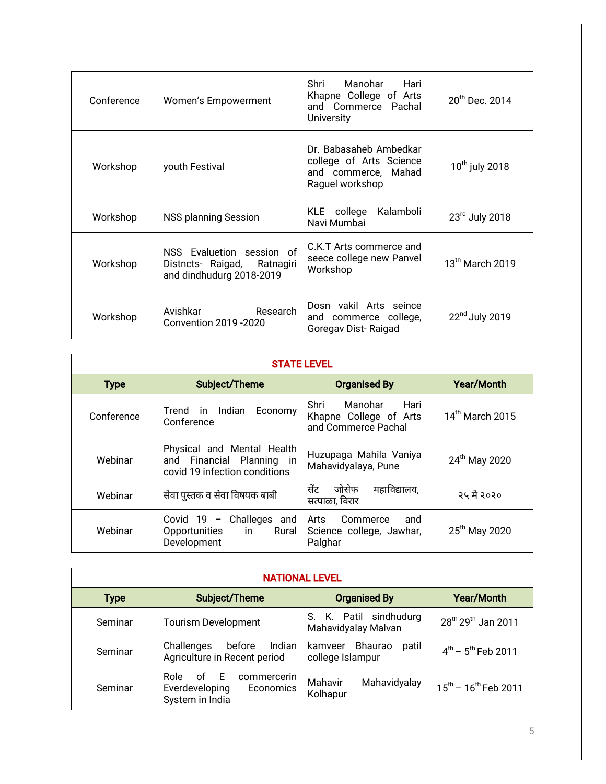| Conference | Women's Empowerment                                                                  | Manohar Hari<br>Shri<br>Khapne College of Arts<br>and Commerce Pachal<br><b>University</b>  | $20^{th}$ Dec. 2014        |
|------------|--------------------------------------------------------------------------------------|---------------------------------------------------------------------------------------------|----------------------------|
| Workshop   | youth Festival                                                                       | Dr. Babasaheb Ambedkar<br>college of Arts Science<br>and commerce, Mahad<br>Raguel workshop | 10 <sup>th</sup> july 2018 |
| Workshop   | NSS planning Session                                                                 | KLE college<br>Kalamboli<br>Navi Mumbai                                                     | 23rd July 2018             |
| Workshop   | NSS Evaluetion session of<br>Distncts- Raigad, Ratnagiri<br>and dindhudurg 2018-2019 | C.K.T Arts commerce and<br>seece college new Panvel<br>Workshop                             | $13th$ March 2019          |
| Workshop   | Avishkar Research<br>Convention 2019 - 2020                                          | Dosn vakil Arts seince<br>and commerce college,<br>Goregav Dist-Raigad                      | 22 <sup>nd</sup> July 2019 |

| <b>STATE LEVEL</b> |                                                                                          |                                                                          |                           |  |
|--------------------|------------------------------------------------------------------------------------------|--------------------------------------------------------------------------|---------------------------|--|
| <b>Type</b>        | Subject/Theme                                                                            | <b>Organised By</b>                                                      | <b>Year/Month</b>         |  |
| Conference         | Indian Economy<br>Trend in<br>Conference                                                 | Manohar<br>Hari<br>Shri<br>Khapne College of Arts<br>and Commerce Pachal | 14th March 2015           |  |
| Webinar            | Physical and Mental Health<br>and Financial Planning in<br>covid 19 infection conditions | Huzupaga Mahila Vaniya<br>Mahavidyalaya, Pune                            | 24 <sup>th</sup> May 2020 |  |
| Webinar            | सेवा पुस्तक व सेवा विषयक बाबी                                                            | सेंट<br>जोसेफ<br>महाविद्यालय,<br>सत्पाळा, विरार                          | २५ मे २०२०                |  |
| Webinar            | Covid $19$ – Challeges and<br>Opportunities in Rural<br>Development                      | Arts<br>Commerce<br>and<br>Science college, Jawhar,<br>Palghar           | 25 <sup>th</sup> May 2020 |  |

| <b>NATIONAL LEVEL</b> |                                                                               |                                                 |                                            |  |
|-----------------------|-------------------------------------------------------------------------------|-------------------------------------------------|--------------------------------------------|--|
| <b>Type</b>           | Subject/Theme                                                                 | <b>Organised By</b>                             | <b>Year/Month</b>                          |  |
| Seminar               | <b>Tourism Development</b>                                                    | S. K. Patil sindhudurg<br>Mahavidyalay Malvan   | 28 <sup>th</sup> 29 <sup>th</sup> Jan 2011 |  |
| Seminar               | Challenges<br>before<br>Indian<br>Agriculture in Recent period                | Bhaurao<br>patil<br>kamveer<br>college Islampur | $4^{th}$ – $5^{th}$ Feb 2011               |  |
| Seminar               | of E<br>commercerin<br>Role<br>Everdeveloping<br>Economics<br>System in India | Mahavidyalay<br>Mahavir<br>Kolhapur             | $15^{th}$ – $16^{th}$ Feb 2011             |  |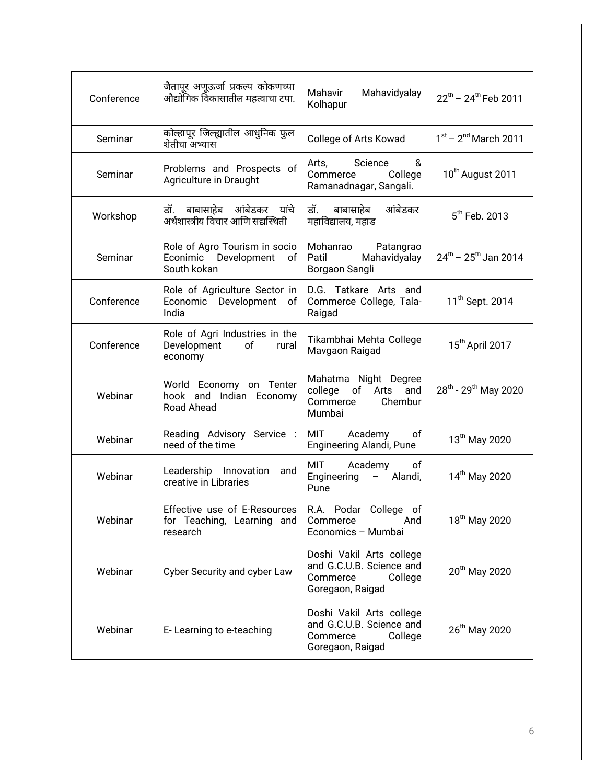| Conference | जैतापूर अणूऊर्जा प्रकल्प कोकणच्या<br>औद्योगिक विकासातील महत्वाचा टपा.                          | Mahavir<br>Mahavidyalay<br>Kolhapur                                                             | $22^{th}$ – $24^{th}$ Feb 2011               |  |
|------------|------------------------------------------------------------------------------------------------|-------------------------------------------------------------------------------------------------|----------------------------------------------|--|
| Seminar    | कोल्हापूर जिल्ह्यातील आधुनिक फुल<br>शेतीचा अभ्यास                                              | College of Arts Kowad                                                                           | $1st - 2nd March 2011$                       |  |
| Seminar    | Problems and Prospects of<br>Agriculture in Draught                                            | Arts,<br>Science<br>&<br>Commerce College<br>Ramanadnagar, Sangali.                             | 10 <sup>th</sup> August 2011                 |  |
| Workshop   | डॉ. बाबासाहेब आंबेडकर यांचे<br>अर्थशास्त्रीय विचार आणि सद्यस्थिती                              | डॉ. बाबासाहेब<br>आंबेडकर<br>महाविद्यालय, महाड                                                   | 5 <sup>th</sup> Feb. 2013                    |  |
| Seminar    | Role of Agro Tourism in socio<br>Econimic Development of<br>South kokan                        | Mohanrao Patangrao<br>Patil<br>Mahavidyalay<br>Borgaon Sangli                                   | $24^{\text{th}}$ – 25 <sup>th</sup> Jan 2014 |  |
| Conference | Role of Agriculture Sector in<br>Economic Development of<br>India                              | D.G. Tatkare Arts and<br>Commerce College, Tala-<br>Raigad                                      | 11 <sup>th</sup> Sept. 2014                  |  |
| Conference | Role of Agri Industries in the<br>Development<br>of<br>rural<br>economy                        | Tikambhai Mehta College<br>Mavgaon Raigad                                                       | 15 <sup>th</sup> April 2017                  |  |
| Webinar    | World Economy on Tenter<br>hook and Indian Economy<br>Road Ahead                               | Mahatma Night Degree<br>college<br>of<br>Arts<br>and<br>Commerce<br>Chembur<br>Mumbai           | 28 <sup>th</sup> - 29 <sup>th</sup> May 2020 |  |
| Webinar    | Reading Advisory Service :<br>need of the time                                                 | <b>MIT</b><br>Academy<br>of<br>Engineering Alandi, Pune                                         | 13th May 2020                                |  |
| Webinar    | Leadership Innovation<br>and<br>creative in Libraries                                          | MIT Academy<br>of<br>Engineering - Alandi,<br>Pune                                              | 14 <sup>th</sup> May 2020                    |  |
| Webinar    | Effective use of E-Resources   R.A. Podar College of<br>for Teaching, Learning and<br>research | And<br>Commerce<br>Economics - Mumbai                                                           | 18 <sup>th</sup> May 2020                    |  |
| Webinar    | Cyber Security and cyber Law                                                                   | Doshi Vakil Arts college<br>and G.C.U.B. Science and<br>College<br>Commerce<br>Goregaon, Raigad | 20 <sup>th</sup> May 2020                    |  |
| Webinar    | E-Learning to e-teaching                                                                       | Doshi Vakil Arts college<br>and G.C.U.B. Science and<br>Commerce<br>College<br>Goregaon, Raigad | 26 <sup>th</sup> May 2020                    |  |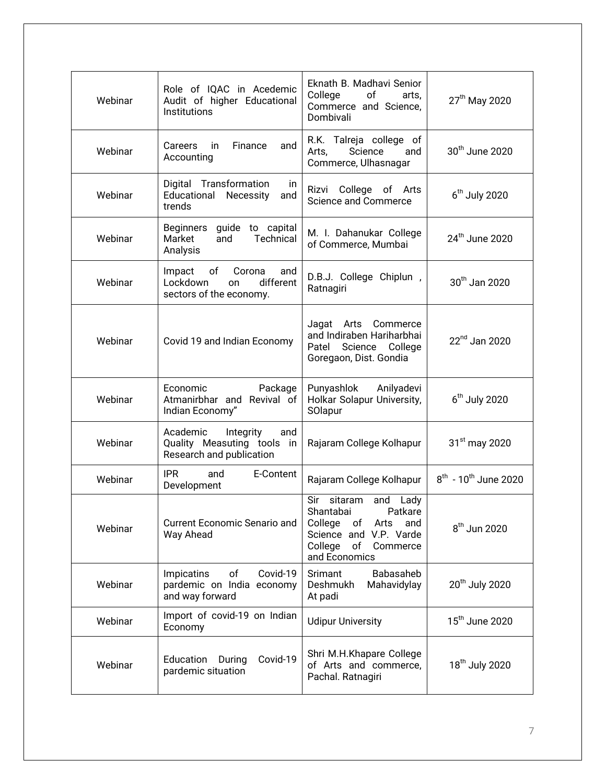| Webinar | Role of IQAC in Acedemic<br>Audit of higher Educational<br>Institutions                 | Eknath B. Madhavi Senior<br>College<br>of<br>arts,<br>Commerce and Science,<br>Dombivali                                                          | 27 <sup>th</sup> May 2020             |  |
|---------|-----------------------------------------------------------------------------------------|---------------------------------------------------------------------------------------------------------------------------------------------------|---------------------------------------|--|
| Webinar | Finance<br>Careers<br>in<br>and<br>Accounting                                           | R.K. Talreja college of<br>Arts,<br>Science<br>and<br>Commerce, Ulhasnagar                                                                        | 30 <sup>th</sup> June 2020            |  |
| Webinar | Digital Transformation<br>in.<br>Educational Necessity<br>and<br>trends                 | Rizvi College of Arts<br><b>Science and Commerce</b>                                                                                              | $6th$ July 2020                       |  |
| Webinar | Beginners<br>guide to capital<br>Technical<br>Market<br>and<br>Analysis                 | M. I. Dahanukar College<br>of Commerce, Mumbai                                                                                                    | 24 <sup>th</sup> June 2020            |  |
| Webinar | Impact<br>of<br>Corona<br>and<br>Lockdown<br>different<br>on<br>sectors of the economy. | D.B.J. College Chiplun,<br>Ratnagiri                                                                                                              | 30 <sup>th</sup> Jan 2020             |  |
| Webinar | Covid 19 and Indian Economy                                                             | Jagat Arts Commerce<br>and Indiraben Hariharbhai<br>Patel<br>Science College<br>Goregaon, Dist. Gondia                                            | $22nd$ Jan 2020                       |  |
| Webinar | Economic<br>Package<br>Atmanirbhar and Revival of<br>Indian Economy"                    | Punyashlok Anilyadevi<br>Holkar Solapur University,<br>SOlapur                                                                                    | $6th$ July 2020                       |  |
| Webinar | Academic<br>Integrity<br>and<br>Quality Measuting tools in<br>Research and publication  | Rajaram College Kolhapur                                                                                                                          | $31st$ may 2020                       |  |
| Webinar | <b>IPR</b><br>and<br>E-Content<br>Development                                           | Rajaram College Kolhapur                                                                                                                          | $8^{th}$ - 10 <sup>th</sup> June 2020 |  |
| Webinar | <b>Current Economic Senario and</b><br>Way Ahead                                        | Sir sitaram<br>and Lady<br>Shantabai<br>Patkare<br>College<br>оf<br>Arts<br>and<br>Science and V.P. Varde<br>College of Commerce<br>and Economics | $8th$ Jun 2020                        |  |
| Webinar | of<br>Covid-19<br>Impicatins<br>pardemic on India economy<br>and way forward            | Babasaheb<br>Srimant<br>Deshmukh<br>Mahavidylay<br>At padi                                                                                        | 20 <sup>th</sup> July 2020            |  |
| Webinar | Import of covid-19 on Indian<br>Economy                                                 | <b>Udipur University</b>                                                                                                                          | 15 <sup>th</sup> June 2020            |  |
| Webinar | Education<br>Covid-19<br>During<br>pardemic situation                                   | Shri M.H.Khapare College<br>of Arts and commerce,<br>Pachal. Ratnagiri                                                                            | 18 <sup>th</sup> July 2020            |  |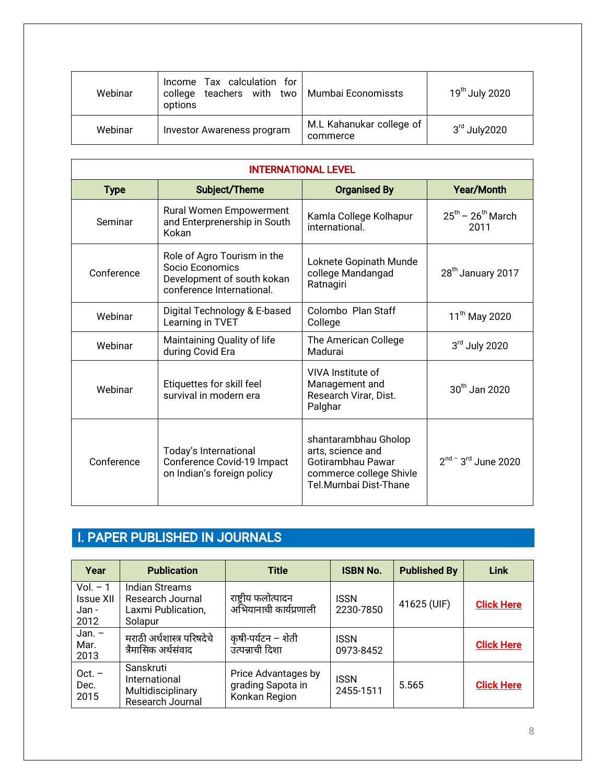| Webinar | Income Tax calculation for<br>teachers with two<br>college<br>options | Mumbai Economissts                   | 19 <sup>th</sup> July 2020 |
|---------|-----------------------------------------------------------------------|--------------------------------------|----------------------------|
| Webinar | <b>Investor Awareness program</b>                                     | M.L Kahanukar college of<br>commerce | $3rd$ July 2020            |

| <b>INTERNATIONAL LEVEL</b>                                                                      |                                                                                                              |                                                                                                                    |                                     |  |
|-------------------------------------------------------------------------------------------------|--------------------------------------------------------------------------------------------------------------|--------------------------------------------------------------------------------------------------------------------|-------------------------------------|--|
| <b>Type</b>                                                                                     | Subject/Theme                                                                                                | <b>Organised By</b>                                                                                                | <b>Year/Month</b>                   |  |
| Seminar                                                                                         | Rural Women Empowerment<br>Kamla College Kolhapur<br>and Enterprenership in South<br>international.<br>Kokan |                                                                                                                    | $25^{th}$ – $26^{th}$ March<br>2011 |  |
| Conference                                                                                      | Role of Agro Tourism in the<br>Socio Economics<br>Development of south kokan<br>conference International.    | Loknete Gopinath Munde<br>college Mandangad<br>Ratnagiri                                                           | 28 <sup>th</sup> January 2017       |  |
| Webinar                                                                                         | Colombo, Plan Staff<br>Digital Technology & E-based<br>Learning in TVET<br>College                           |                                                                                                                    | 11 <sup>th</sup> May 2020           |  |
| Webinar                                                                                         | Maintaining Quality of life<br>during Covid Era                                                              | The American College<br>Madurai                                                                                    | $3rd$ July 2020                     |  |
| Webinar                                                                                         | Etiquettes for skill feel<br>survival in modern era                                                          | VIVA Institute of<br>Management and<br>Research Virar, Dist.<br>Palghar                                            | $30th$ Jan 2020                     |  |
| Today's International<br>Conference Covid-19 Impact<br>Conference<br>on Indian's foreign policy |                                                                                                              | shantarambhau Gholop<br>arts, science and<br>Gotirambhau Pawar<br>commerce college Shivle<br>Tel Mumbai Dist-Thane | $2^{nd}$ - $3^{rd}$ June 2020       |  |

# I. PAPER PUBLISHED IN JOURNALS

| Year                                     | <b>Publication</b>                                                         | <b>Title</b>                                              | <b>ISBN No.</b>          | <b>Published By</b> | <b>Link</b>       |
|------------------------------------------|----------------------------------------------------------------------------|-----------------------------------------------------------|--------------------------|---------------------|-------------------|
| $Vol. - 1$<br>Issue XII<br>Jan -<br>2012 | <b>Indian Streams</b><br>Research Journal<br>Laxmi Publication,<br>Solapur | राष्ट्रीय फलोत्पादन<br>अभियानाची कार्यप्रणाली             | <b>ISSN</b><br>2230-7850 | 41625 (UIF)         | <b>Click Here</b> |
| Jan. $-$<br>Mar.<br>2013                 | मराठी अर्थशास्त्र परिषदेचे<br>त्रैमासिक अर्थसंवाद                          | कृषी-पर्यटन – शेती<br>उत्पन्नाची दिशा                     | <b>ISSN</b><br>0973-8452 |                     | <b>Click Here</b> |
| $Oct. -$<br>Dec.<br>2015                 | Sanskruti<br>International<br>Multidisciplinary<br>Research Journal        | Price Advantages by<br>grading Sapota in<br>Konkan Region | <b>ISSN</b><br>2455-1511 | 5.565               | <b>Click Here</b> |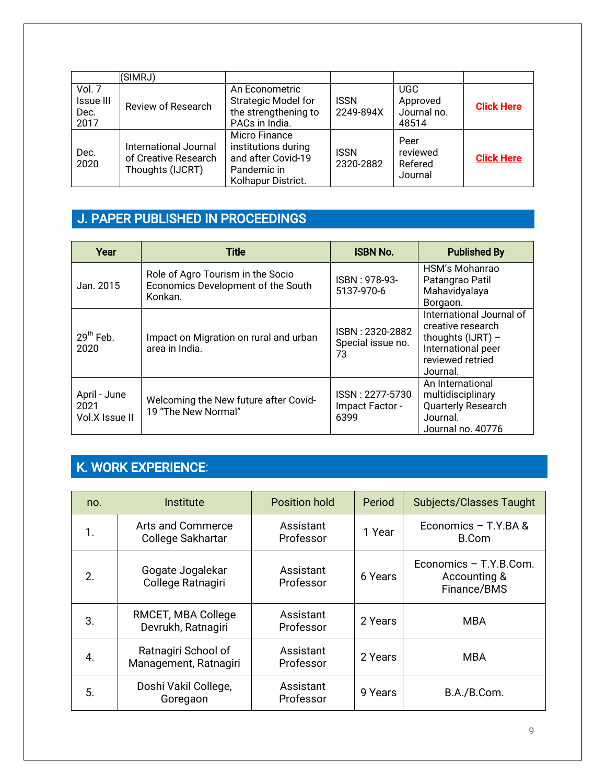|                                            | (SIMRJ)                                                           |                                                                                                 |                          |                                                |                   |
|--------------------------------------------|-------------------------------------------------------------------|-------------------------------------------------------------------------------------------------|--------------------------|------------------------------------------------|-------------------|
| Vol. 7<br><b>Issue III</b><br>Dec.<br>2017 | Review of Research                                                | An Econometric<br><b>Strategic Model for</b><br>the strengthening to<br>PACs in India.          | <b>ISSN</b><br>2249-894X | <b>UGC</b><br>Approved<br>Journal no.<br>48514 | <b>Click Here</b> |
| Dec.<br>2020                               | International Journal<br>of Creative Research<br>Thoughts (IJCRT) | Micro Finance<br>institutions during<br>and after Covid-19<br>Pandemic in<br>Kolhapur District. | <b>ISSN</b><br>2320-2882 | Peer<br>reviewed<br>Refered<br>Journal         | <b>Click Here</b> |

### J. PAPER PUBLISHED IN PROCEEDINGS

| Year                                   | <b>Title</b>                                                                       | <b>ISBN No.</b>                            | <b>Published By</b>                                                                                                        |
|----------------------------------------|------------------------------------------------------------------------------------|--------------------------------------------|----------------------------------------------------------------------------------------------------------------------------|
| Jan. 2015                              | Role of Agro Tourism in the Socio<br>Economics Development of the South<br>Konkan. | ISBN: 978-93-<br>5137-970-6                | HSM's Mohanrao<br>Patangrao Patil<br>Mahavidyalaya<br>Borgaon.                                                             |
| $29th$ Feb.<br>2020                    | Impact on Migration on rural and urban<br>area in India.                           | ISBN: 2320-2882<br>Special issue no.<br>73 | International Journal of<br>creative research<br>thoughts $(IJRT)$ –<br>International peer<br>reviewed retried<br>Journal. |
| April - June<br>2021<br>Vol.X Issue II | Welcoming the New future after Covid-<br>19 "The New Normal"                       | ISSN: 2277-5730<br>Impact Factor -<br>6399 | An International<br>multidisciplinary<br>Quarterly Research<br>Journal.<br>Journal no. 40776                               |

# K. WORK EXPERIENCE:

| no. | Institute                                    | <b>Position hold</b>   | Period  | <b>Subjects/Classes Taught</b>                        |
|-----|----------------------------------------------|------------------------|---------|-------------------------------------------------------|
| 1.  | Arts and Commerce<br>College Sakhartar       | Assistant<br>Professor | 1 Year  | Economics - T.Y.BA &<br>B.Com                         |
| 2.  | Gogate Jogalekar<br>College Ratnagiri        | Assistant<br>Professor | 6 Years | Economics - T.Y.B.Com.<br>Accounting &<br>Finance/BMS |
| 3.  | RMCET, MBA College<br>Devrukh, Ratnagiri     | Assistant<br>Professor | 2 Years | <b>MBA</b>                                            |
| 4.  | Ratnagiri School of<br>Management, Ratnagiri | Assistant<br>Professor | 2 Years | <b>MBA</b>                                            |
| 5.  | Doshi Vakil College,<br>Goregaon             | Assistant<br>Professor | 9 Years | B.A./B.Com.                                           |